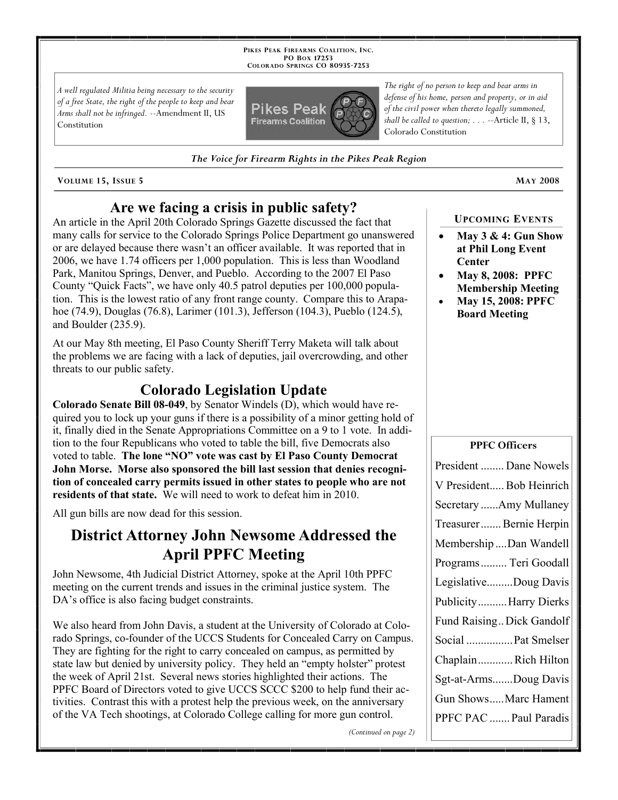**PIKES PEAK FIREARMS COALITION, INC. PO BOX 17253 COLORADO SPRINGS CO 80935 -7253**

*A well regulated Militia being necessary to the security of a free State, the right of the people to keep and bear Arms shall not be infringed.* --Amendment II, US Constitution



*The Voice for Firearm Rights in the Pikes Peak Region*

**VOLUME 15, ISSUE 5 MAY 2008**

### **Are we facing a crisis in public safety?**

An article in the April 20th Colorado Springs Gazette discussed the fact that many calls for service to the Colorado Springs Police Department go unanswered or are delayed because there wasn't an officer available. It was reported that in 2006, we have 1.74 officers per 1,000 population. This is less than Woodland Park, Manitou Springs, Denver, and Pueblo. According to the 2007 El Paso County "Quick Facts", we have only 40.5 patrol deputies per 100,000 population. This is the lowest ratio of any front range county. Compare this to Arapahoe (74.9), Douglas (76.8), Larimer (101.3), Jefferson (104.3), Pueblo (124.5), and Boulder (235.9).

At our May 8th meeting, El Paso County Sheriff Terry Maketa will talk about the problems we are facing with a lack of deputies, jail overcrowding, and other threats to our public safety.

# **Colorado Legislation Update**

**Colorado Senate Bill 08-049**, by Senator Windels (D), which would have required you to lock up your guns if there is a possibility of a minor getting hold of it, finally died in the Senate Appropriations Committee on a 9 to 1 vote. In addition to the four Republicans who voted to table the bill, five Democrats also voted to table. **The lone "NO" vote was cast by El Paso County Democrat John Morse. Morse also sponsored the bill last session that denies recognition of concealed carry permits issued in other states to people who are not residents of that state.** We will need to work to defeat him in 2010.

All gun bills are now dead for this session.

# **District Attorney John Newsome Addressed the April PPFC Meeting**

John Newsome, 4th Judicial District Attorney, spoke at the April 10th PPFC meeting on the current trends and issues in the criminal justice system. The DA's office is also facing budget constraints.

We also heard from John Davis, a student at the University of Colorado at Colorado Springs, co-founder of the UCCS Students for Concealed Carry on Campus. They are fighting for the right to carry concealed on campus, as permitted by state law but denied by university policy. They held an "empty holster" protest the week of April 21st. Several news stories highlighted their actions. The PPFC Board of Directors voted to give UCCS SCCC \$200 to help fund their activities. Contrast this with a protest help the previous week, on the anniversary of the VA Tech shootings, at Colorado College calling for more gun control.

*(Continued on page 2)*

*The right of no person to keep and bear arms in defense of his home, person and property, or in aid of the civil power when thereto legally summoned, shall be called to question; . . .* --Article II, § 13, Colorado Constitution

**UPCOMING EVENTS**

- **May 3 & 4: Gun Show at Phil Long Event Center**
- **May 8, 2008: PPFC Membership Meeting**
- **May 15, 2008: PPFC Board Meeting**

#### **PPFC Officers**

| President  Dane Nowels    |
|---------------------------|
| V President Bob Heinrich  |
| Secretary Amy Mullaney    |
| Treasurer  Bernie Herpin  |
| Membership Dan Wandell    |
| Programs  Teri Goodall    |
| LegislativeDoug Davis     |
| PublicityHarry Dierks     |
| Fund Raising Dick Gandolf |
| Social  Pat Smelser       |
| ChaplainRich Hilton       |
| Sgt-at-ArmsDoug Davis     |
| Gun ShowsMarc Hament      |
| PPFC PAC  Paul Paradis    |